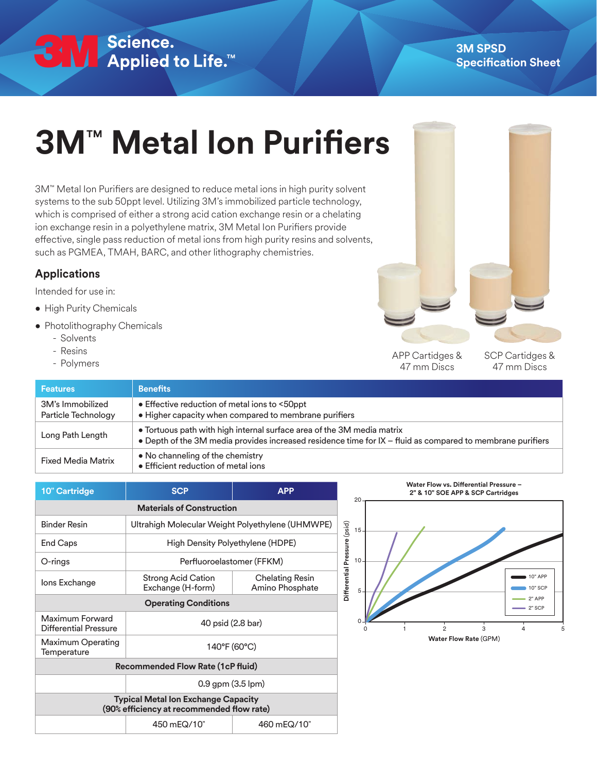## SN Science.<br>● Applied to Life.™

## **3M**™ **Metal Ion Purifiers**

3M™ Metal Ion Purifiers are designed to reduce metal ions in high purity solvent systems to the sub 50ppt level. Utilizing 3M's immobilized particle technology, which is comprised of either a strong acid cation exchange resin or a chelating ion exchange resin in a polyethylene matrix, 3M Metal Ion Purifiers provide effective, single pass reduction of metal ions from high purity resins and solvents, such as PGMEA, TMAH, BARC, and other lithography chemistries.

## **Applications**

Intended for use in:

- High Purity Chemicals
- Photolithography Chemicals
	- Solvents
	- Resins
	-

- Resins<br>- Polymers APP Cartidges & APP Cartidges & APP Cartidges & APP Cartidges & APP Cartidges & APP Cartidges & APP Cartidges & APP Cartidges & APP Cartidges & APP Cartidges & APP Cartidges & APP Cartidges & APP Cartid 47 mm Discs

SCP Cartidges & 47 mm Discs

| <b>Features</b>                         | <b>Benefits</b>                                                                                                                                                                      |  |
|-----------------------------------------|--------------------------------------------------------------------------------------------------------------------------------------------------------------------------------------|--|
| 3M's Immobilized<br>Particle Technology | • Effective reduction of metal ions to <50ppt<br>• Higher capacity when compared to membrane purifiers                                                                               |  |
| Long Path Length                        | • Tortuous path with high internal surface area of the 3M media matrix<br>• Depth of the 3M media provides increased residence time for IX – fluid as compared to membrane purifiers |  |
| <b>Fixed Media Matrix</b>               | • No channeling of the chemistry<br>• Efficient reduction of metal ions                                                                                                              |  |

| 10" Cartridge                                                                           | <b>SCP</b>                                       | <b>APP</b>                         |  |  |
|-----------------------------------------------------------------------------------------|--------------------------------------------------|------------------------------------|--|--|
| <b>Materials of Construction</b>                                                        |                                                  |                                    |  |  |
| <b>Binder Resin</b>                                                                     | Ultrahigh Molecular Weight Polyethylene (UHMWPE) |                                    |  |  |
| End Caps                                                                                | High Density Polyethylene (HDPE)                 |                                    |  |  |
| O-rings                                                                                 | Perfluoroelastomer (FFKM)                        |                                    |  |  |
| lons Exchange                                                                           | <b>Strong Acid Cation</b><br>Exchange (H-form)   | Chelating Resin<br>Amino Phosphate |  |  |
| <b>Operating Conditions</b>                                                             |                                                  |                                    |  |  |
| Maximum Forward<br>Differential Pressure                                                | 40 psid (2.8 bar)                                |                                    |  |  |
| Maximum Operating<br>Temperature                                                        | 140°F (60°C)                                     |                                    |  |  |
| <b>Recommended Flow Rate (1cP fluid)</b>                                                |                                                  |                                    |  |  |
|                                                                                         | 0.9 gpm (3.5 lpm)                                |                                    |  |  |
| <b>Typical Metal Ion Exchange Capacity</b><br>(90% efficiency at recommended flow rate) |                                                  |                                    |  |  |
|                                                                                         | 450 mEQ/10"                                      | 460 mEQ/10"                        |  |  |



**Water Flow Rate** (GPM)